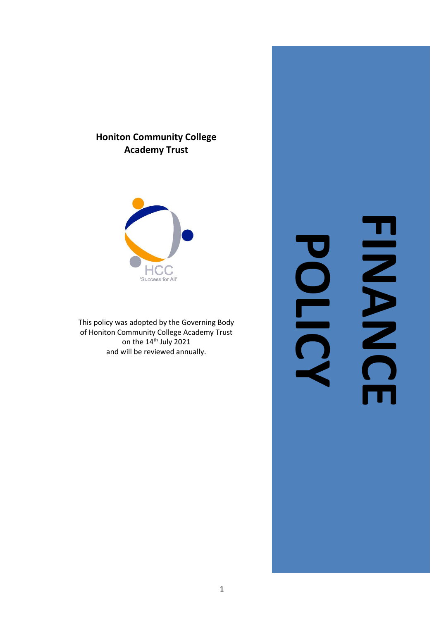# **Honiton Community College Academy Trust**



This policy was adopted by the Governing Body of Honiton Community College Academy Trust on the 14<sup>th</sup> July 2021 and will be reviewed annually.

# **FINANCE HINNS POLIC**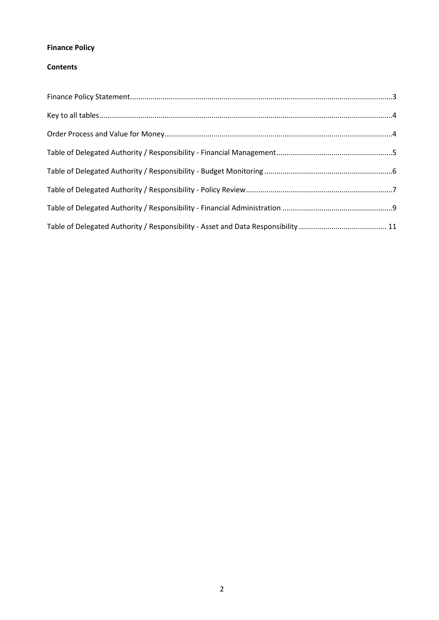### **Finance Policy**

#### **Contents**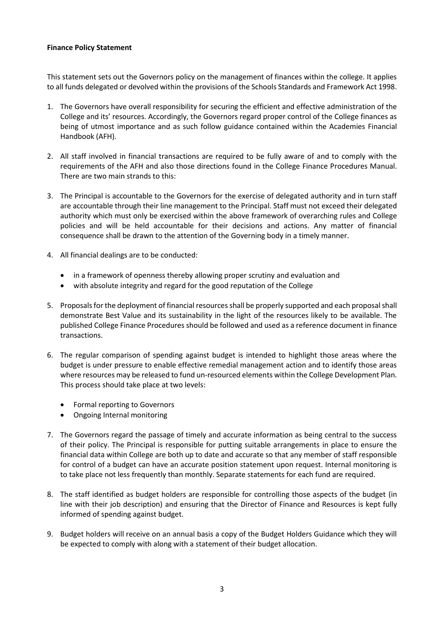#### <span id="page-2-0"></span>**Finance Policy Statement**

This statement sets out the Governors policy on the management of finances within the college. It applies to all funds delegated or devolved within the provisions of the Schools Standards and Framework Act 1998.

- 1. The Governors have overall responsibility for securing the efficient and effective administration of the College and its' resources. Accordingly, the Governors regard proper control of the College finances as being of utmost importance and as such follow guidance contained within the Academies Financial Handbook (AFH).
- 2. All staff involved in financial transactions are required to be fully aware of and to comply with the requirements of the AFH and also those directions found in the College Finance Procedures Manual. There are two main strands to this:
- 3. The Principal is accountable to the Governors for the exercise of delegated authority and in turn staff are accountable through their line management to the Principal. Staff must not exceed their delegated authority which must only be exercised within the above framework of overarching rules and College policies and will be held accountable for their decisions and actions. Any matter of financial consequence shall be drawn to the attention of the Governing body in a timely manner.
- 4. All financial dealings are to be conducted:
	- in a framework of openness thereby allowing proper scrutiny and evaluation and
	- with absolute integrity and regard for the good reputation of the College
- 5. Proposals for the deployment of financial resources shall be properly supported and each proposal shall demonstrate Best Value and its sustainability in the light of the resources likely to be available. The published College Finance Procedures should be followed and used as a reference document in finance transactions.
- 6. The regular comparison of spending against budget is intended to highlight those areas where the budget is under pressure to enable effective remedial management action and to identify those areas where resources may be released to fund un-resourced elements within the College Development Plan. This process should take place at two levels:
	- Formal reporting to Governors
	- Ongoing Internal monitoring
- 7. The Governors regard the passage of timely and accurate information as being central to the success of their policy. The Principal is responsible for putting suitable arrangements in place to ensure the financial data within College are both up to date and accurate so that any member of staff responsible for control of a budget can have an accurate position statement upon request. Internal monitoring is to take place not less frequently than monthly. Separate statements for each fund are required.
- 8. The staff identified as budget holders are responsible for controlling those aspects of the budget (in line with their job description) and ensuring that the Director of Finance and Resources is kept fully informed of spending against budget.
- 9. Budget holders will receive on an annual basis a copy of the Budget Holders Guidance which they will be expected to comply with along with a statement of their budget allocation.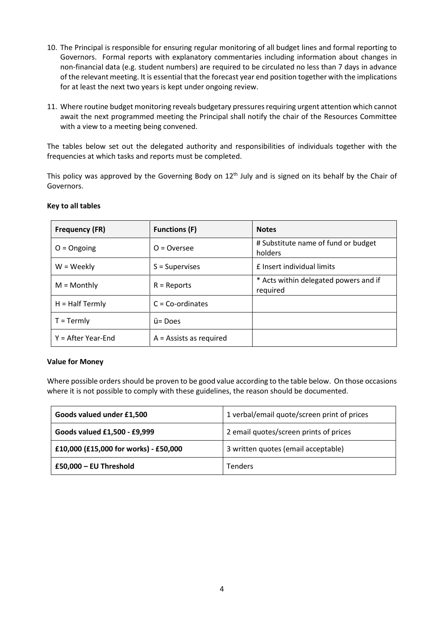- 10. The Principal is responsible for ensuring regular monitoring of all budget lines and formal reporting to Governors. Formal reports with explanatory commentaries including information about changes in non-financial data (e.g. student numbers) are required to be circulated no less than 7 days in advance of the relevant meeting. It is essential that the forecast year end position together with the implications for at least the next two years is kept under ongoing review.
- 11. Where routine budget monitoring reveals budgetary pressures requiring urgent attention which cannot await the next programmed meeting the Principal shall notify the chair of the Resources Committee with a view to a meeting being convened.

The tables below set out the delegated authority and responsibilities of individuals together with the frequencies at which tasks and reports must be completed.

This policy was approved by the Governing Body on  $12^{\text{th}}$  July and is signed on its behalf by the Chair of Governors.

| <b>Frequency (FR)</b> | <b>Functions (F)</b>      | <b>Notes</b>                                      |
|-----------------------|---------------------------|---------------------------------------------------|
| $O =$ Ongoing         | $O = Overse$              | # Substitute name of fund or budget<br>holders    |
| $W = Weekly$          | $S =$ Supervises          | <b>£</b> Insert individual limits                 |
| $M =$ Monthly         | $R =$ Reports             | * Acts within delegated powers and if<br>required |
| $H = Half Termly$     | $C = Co-ordinates$        |                                                   |
| $T = Termly$          | ü= Does                   |                                                   |
| $Y = After Year-End$  | $A =$ Assists as required |                                                   |

#### <span id="page-3-0"></span>**Key to all tables**

#### <span id="page-3-1"></span>**Value for Money**

Where possible orders should be proven to be good value according to the table below. On those occasions where it is not possible to comply with these guidelines, the reason should be documented.

| Goods valued under £1,500             | 1 verbal/email quote/screen print of prices |
|---------------------------------------|---------------------------------------------|
| Goods valued £1,500 - £9,999          | 2 email quotes/screen prints of prices      |
| £10,000 (£15,000 for works) - £50,000 | 3 written quotes (email acceptable)         |
| £50,000 - EU Threshold                | <b>Tenders</b>                              |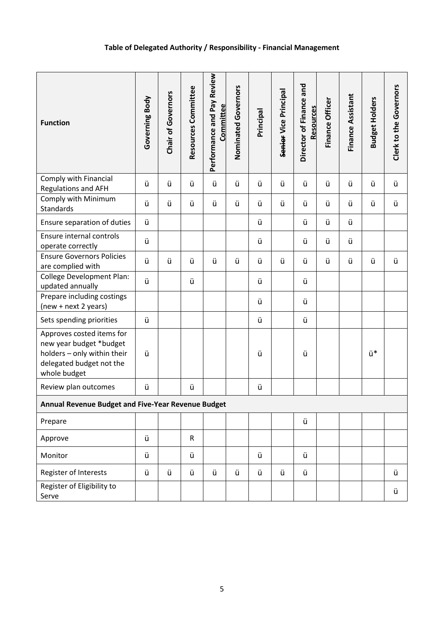# **Table of Delegated Authority / Responsibility - Financial Management**

<span id="page-4-0"></span>

| <b>Function</b>                                                                                                                 | Governing Body | <b>Chair of Governors</b> | Resources Committee | Performance and Pay Review<br>Committee | Nominated Governors | Principal | Senier Vice Principal | Director of Finance and<br><b>Resources</b> | Finance Officer | Finance Assistant | <b>Budget Holders</b> | Clerk to the Governors |
|---------------------------------------------------------------------------------------------------------------------------------|----------------|---------------------------|---------------------|-----------------------------------------|---------------------|-----------|-----------------------|---------------------------------------------|-----------------|-------------------|-----------------------|------------------------|
| Comply with Financial<br>Regulations and AFH                                                                                    | ü              | ü                         | ü                   | ü                                       | ü                   | ü         | ü                     | ü                                           | ü               | ü                 | ü                     | ü                      |
| Comply with Minimum<br>Standards                                                                                                | ü              | ü                         | ü                   | ü                                       | ü                   | ü         | ü                     | ü                                           | ü               | ü                 | ü                     | ü                      |
| Ensure separation of duties                                                                                                     | ü              |                           |                     |                                         |                     | ü         |                       | ü                                           | ü               | ü                 |                       |                        |
| Ensure internal controls<br>operate correctly                                                                                   | ü              |                           |                     |                                         |                     | ü         |                       | ü                                           | ü               | ü                 |                       |                        |
| <b>Ensure Governors Policies</b><br>are complied with                                                                           | ü              | ü                         | ü                   | ü                                       | ü                   | ü         | ü                     | ü                                           | ü               | ü                 | ü                     | ü                      |
| <b>College Development Plan:</b><br>updated annually                                                                            | ü              |                           | ü                   |                                         |                     | ü         |                       | ü                                           |                 |                   |                       |                        |
| Prepare including costings<br>(new + next 2 years)                                                                              |                |                           |                     |                                         |                     | ü         |                       | ü                                           |                 |                   |                       |                        |
| Sets spending priorities                                                                                                        | ü              |                           |                     |                                         |                     | ü         |                       | ü                                           |                 |                   |                       |                        |
| Approves costed items for<br>new year budget *budget<br>holders - only within their<br>delegated budget not the<br>whole budget | ü              |                           |                     |                                         |                     | ü         |                       | ü                                           |                 |                   | ü*                    |                        |
| Review plan outcomes                                                                                                            | ü              |                           | ü                   |                                         |                     | ü         |                       |                                             |                 |                   |                       |                        |
| <b>Annual Revenue Budget and Five-Year Revenue Budget</b>                                                                       |                |                           |                     |                                         |                     |           |                       |                                             |                 |                   |                       |                        |
| Prepare                                                                                                                         |                |                           |                     |                                         |                     |           |                       | ü                                           |                 |                   |                       |                        |
| Approve                                                                                                                         | ü              |                           | ${\sf R}$           |                                         |                     |           |                       |                                             |                 |                   |                       |                        |
| Monitor                                                                                                                         | ü              |                           | ü                   |                                         |                     | ü         |                       | ü                                           |                 |                   |                       |                        |
| Register of Interests                                                                                                           | ü              | ü                         | ü                   | ü                                       | ü                   | ü         | ü                     | ü                                           |                 |                   |                       | ü                      |
| Register of Eligibility to<br>Serve                                                                                             |                |                           |                     |                                         |                     |           |                       |                                             |                 |                   |                       | ü                      |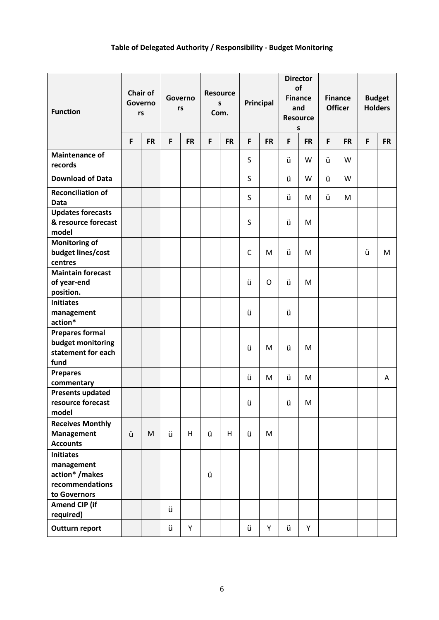# **Table of Delegated Authority / Responsibility - Budget Monitoring**

<span id="page-5-0"></span>

| <b>Function</b>                                                                    |   | <b>Chair of</b><br>Governo<br>rs | Governo<br>rs |           | <b>Resource</b><br>S<br>Com. |           | Principal    |             | <b>Director</b><br>of<br><b>Finance</b><br>and<br><b>Resource</b><br>S |           | <b>Finance</b><br><b>Officer</b> |           | <b>Budget</b><br><b>Holders</b> |           |
|------------------------------------------------------------------------------------|---|----------------------------------|---------------|-----------|------------------------------|-----------|--------------|-------------|------------------------------------------------------------------------|-----------|----------------------------------|-----------|---------------------------------|-----------|
|                                                                                    | F | <b>FR</b>                        | F             | <b>FR</b> | F                            | <b>FR</b> | F            | <b>FR</b>   | F                                                                      | <b>FR</b> | F                                | <b>FR</b> | $\mathsf{F}$                    | <b>FR</b> |
| <b>Maintenance of</b><br>records                                                   |   |                                  |               |           |                              |           | S            |             | ü                                                                      | W         | ü                                | W         |                                 |           |
| <b>Download of Data</b>                                                            |   |                                  |               |           |                              |           | S            |             | ü                                                                      | W         | ü                                | W         |                                 |           |
| <b>Reconciliation of</b><br><b>Data</b>                                            |   |                                  |               |           |                              |           | S            |             | ü                                                                      | M         | ü                                | M         |                                 |           |
| <b>Updates forecasts</b><br>& resource forecast<br>model                           |   |                                  |               |           |                              |           | S            |             | ü                                                                      | M         |                                  |           |                                 |           |
| <b>Monitoring of</b><br>budget lines/cost<br>centres                               |   |                                  |               |           |                              |           | $\mathsf{C}$ | M           | ü                                                                      | M         |                                  |           | ü                               | M         |
| <b>Maintain forecast</b><br>of year-end<br>position.                               |   |                                  |               |           |                              |           | ü            | $\mathsf O$ | ü                                                                      | M         |                                  |           |                                 |           |
| <b>Initiates</b><br>management<br>action*                                          |   |                                  |               |           |                              |           | ü            |             | ü                                                                      |           |                                  |           |                                 |           |
| <b>Prepares formal</b><br>budget monitoring<br>statement for each<br>fund          |   |                                  |               |           |                              |           | ü            | M           | ü                                                                      | M         |                                  |           |                                 |           |
| <b>Prepares</b><br>commentary                                                      |   |                                  |               |           |                              |           | ü            | M           | ü                                                                      | M         |                                  |           |                                 | Α         |
| <b>Presents updated</b><br>resource forecast<br>model                              |   |                                  |               |           |                              |           | ü            |             | ü                                                                      | M         |                                  |           |                                 |           |
| <b>Receives Monthly</b><br><b>Management</b><br><b>Accounts</b>                    | ü | M                                | ü             | H         | ü                            | H         | ü            | M           |                                                                        |           |                                  |           |                                 |           |
| <b>Initiates</b><br>management<br>action*/makes<br>recommendations<br>to Governors |   |                                  |               |           | ü                            |           |              |             |                                                                        |           |                                  |           |                                 |           |
| <b>Amend CIP (if</b><br>required)                                                  |   |                                  | ü             |           |                              |           |              |             |                                                                        |           |                                  |           |                                 |           |
| Outturn report                                                                     |   |                                  | ü             | Υ         |                              |           | ü            | Y           | ü                                                                      | Y         |                                  |           |                                 |           |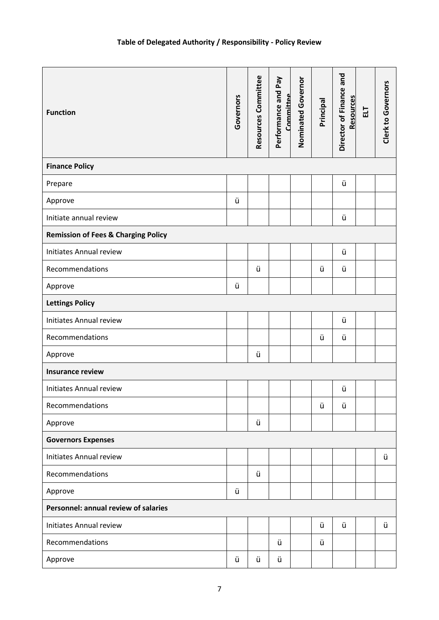<span id="page-6-0"></span>

| <b>Function</b>                                | Governors | Resources Committee | Performance and Pay<br>Committee | Nominated Governor | Principal | Director of Finance and<br>Resources | 급 | Clerk to Governors |  |  |  |
|------------------------------------------------|-----------|---------------------|----------------------------------|--------------------|-----------|--------------------------------------|---|--------------------|--|--|--|
| <b>Finance Policy</b>                          |           |                     |                                  |                    |           |                                      |   |                    |  |  |  |
| Prepare                                        |           |                     |                                  |                    |           | ü                                    |   |                    |  |  |  |
| Approve                                        | ü         |                     |                                  |                    |           |                                      |   |                    |  |  |  |
| Initiate annual review                         |           |                     |                                  |                    |           | ü                                    |   |                    |  |  |  |
| <b>Remission of Fees &amp; Charging Policy</b> |           |                     |                                  |                    |           |                                      |   |                    |  |  |  |
| <b>Initiates Annual review</b>                 |           |                     |                                  |                    |           | ü                                    |   |                    |  |  |  |
| Recommendations                                |           | ü                   |                                  |                    | ü         | ü                                    |   |                    |  |  |  |
| Approve                                        | ü         |                     |                                  |                    |           |                                      |   |                    |  |  |  |
| <b>Lettings Policy</b>                         |           |                     |                                  |                    |           |                                      |   |                    |  |  |  |
| <b>Initiates Annual review</b>                 |           |                     |                                  |                    |           | ü                                    |   |                    |  |  |  |
| Recommendations                                |           |                     |                                  |                    | ü         | ü                                    |   |                    |  |  |  |
| Approve                                        |           | ü                   |                                  |                    |           |                                      |   |                    |  |  |  |
| <b>Insurance review</b>                        |           |                     |                                  |                    |           |                                      |   |                    |  |  |  |
| Initiates Annual review                        |           |                     |                                  |                    |           | ü                                    |   |                    |  |  |  |
| Recommendations                                |           |                     |                                  |                    | ü         | ü                                    |   |                    |  |  |  |
| Approve                                        |           | ü                   |                                  |                    |           |                                      |   |                    |  |  |  |
| <b>Governors Expenses</b>                      |           |                     |                                  |                    |           |                                      |   |                    |  |  |  |
| <b>Initiates Annual review</b>                 |           |                     |                                  |                    |           |                                      |   | ü                  |  |  |  |
| Recommendations                                |           | ü                   |                                  |                    |           |                                      |   |                    |  |  |  |
| Approve                                        | ü         |                     |                                  |                    |           |                                      |   |                    |  |  |  |
| Personnel: annual review of salaries           |           |                     |                                  |                    |           |                                      |   |                    |  |  |  |
| Initiates Annual review                        |           |                     |                                  |                    | ü         | ü                                    |   | ü                  |  |  |  |
| Recommendations                                |           |                     | ü                                |                    | ü         |                                      |   |                    |  |  |  |
| Approve                                        | ü         | ü                   | ü                                |                    |           |                                      |   |                    |  |  |  |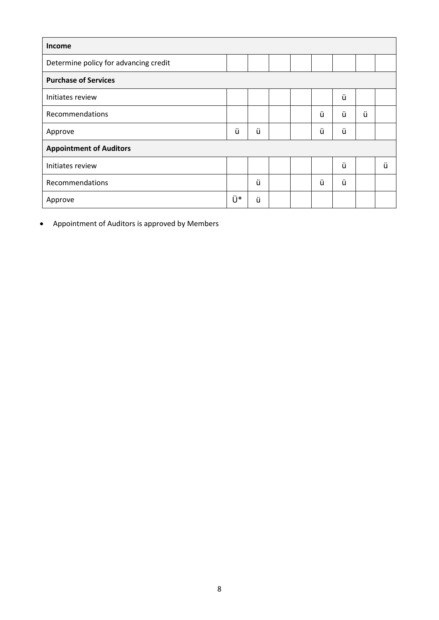| <b>Income</b>                         |    |   |  |  |       |   |   |   |  |  |
|---------------------------------------|----|---|--|--|-------|---|---|---|--|--|
| Determine policy for advancing credit |    |   |  |  |       |   |   |   |  |  |
| <b>Purchase of Services</b>           |    |   |  |  |       |   |   |   |  |  |
| Initiates review                      |    |   |  |  |       | ü |   |   |  |  |
| Recommendations                       |    |   |  |  | ü     | ü | ü |   |  |  |
| Approve                               | ü  | ü |  |  | <br>ü | ü |   |   |  |  |
| <b>Appointment of Auditors</b>        |    |   |  |  |       |   |   |   |  |  |
| Initiates review                      |    |   |  |  |       | ü |   | ü |  |  |
| Recommendations                       |    | ü |  |  | <br>ũ | ü |   |   |  |  |
| Approve                               | Ü* | ü |  |  |       |   |   |   |  |  |

• Appointment of Auditors is approved by Members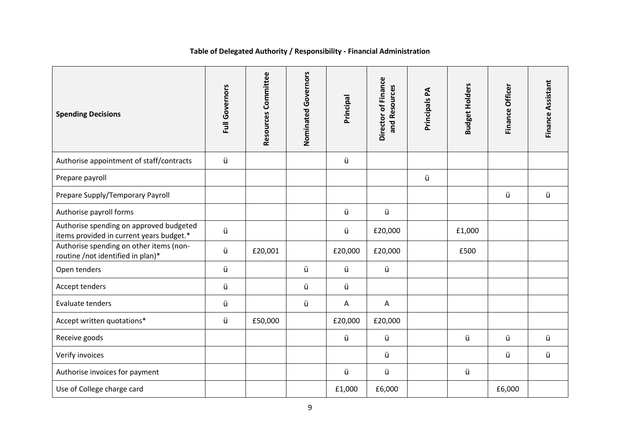## **Table of Delegated Authority / Responsibility - Financial Administration**

<span id="page-8-0"></span>

| <b>Spending Decisions</b>                                                           | Full Governors | Resources Committee | Nominated Governors | Principal    | Director of Finance<br>and Resources | Principals PA | <b>Budget Holders</b> | Finance Officer | Finance Assistant |
|-------------------------------------------------------------------------------------|----------------|---------------------|---------------------|--------------|--------------------------------------|---------------|-----------------------|-----------------|-------------------|
| Authorise appointment of staff/contracts                                            | ü              |                     |                     | ü            |                                      |               |                       |                 |                   |
| Prepare payroll                                                                     |                |                     |                     |              |                                      | ü             |                       |                 |                   |
| Prepare Supply/Temporary Payroll                                                    |                |                     |                     |              |                                      |               |                       | ü               | ü                 |
| Authorise payroll forms                                                             |                |                     |                     | ü            | ü                                    |               |                       |                 |                   |
| Authorise spending on approved budgeted<br>items provided in current years budget.* | ü              |                     |                     | ü            | £20,000                              |               | £1,000                |                 |                   |
| Authorise spending on other items (non-<br>routine /not identified in plan)*        | ü              | £20,001             |                     | £20,000      | £20,000                              |               | £500                  |                 |                   |
| Open tenders                                                                        | ü              |                     | ü                   | ü            | ü                                    |               |                       |                 |                   |
| Accept tenders                                                                      | ü              |                     | ü                   | ü            |                                      |               |                       |                 |                   |
| Evaluate tenders                                                                    | ü              |                     | ü                   | $\mathsf{A}$ | A                                    |               |                       |                 |                   |
| Accept written quotations*                                                          | ü              | £50,000             |                     | £20,000      | £20,000                              |               |                       |                 |                   |
| Receive goods                                                                       |                |                     |                     | ü            | ü                                    |               | ü                     | ü               | ü                 |
| Verify invoices                                                                     |                |                     |                     |              | ü                                    |               |                       | ü               | ü                 |
| Authorise invoices for payment                                                      |                |                     |                     | ü            | ü                                    |               | ü                     |                 |                   |
| Use of College charge card                                                          |                |                     |                     | £1,000       | £6,000                               |               |                       | £6,000          |                   |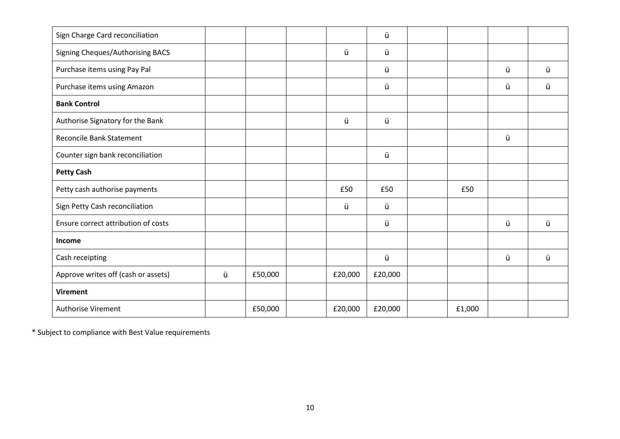|   |         |         | ü       |        |   |   |
|---|---------|---------|---------|--------|---|---|
|   |         | ü       | ü       |        |   |   |
|   |         |         | ü       |        | ü | ü |
|   |         |         | ü       |        | ü | ü |
|   |         |         |         |        |   |   |
|   |         | ü       | ü       |        |   |   |
|   |         |         |         |        | ü |   |
|   |         |         | ü       |        |   |   |
|   |         |         |         |        |   |   |
|   |         | £50     | £50     | £50    |   |   |
|   |         | ü       | ü       |        |   |   |
|   |         |         | ü       |        | ü | ü |
|   |         |         |         |        |   |   |
|   |         |         | ü       |        | ü | ü |
| ü | £50,000 | £20,000 | £20,000 |        |   |   |
|   |         |         |         |        |   |   |
|   | £50,000 | £20,000 | £20,000 | £1,000 |   |   |
|   |         |         |         |        |   |   |

\* Subject to compliance with Best Value requirements